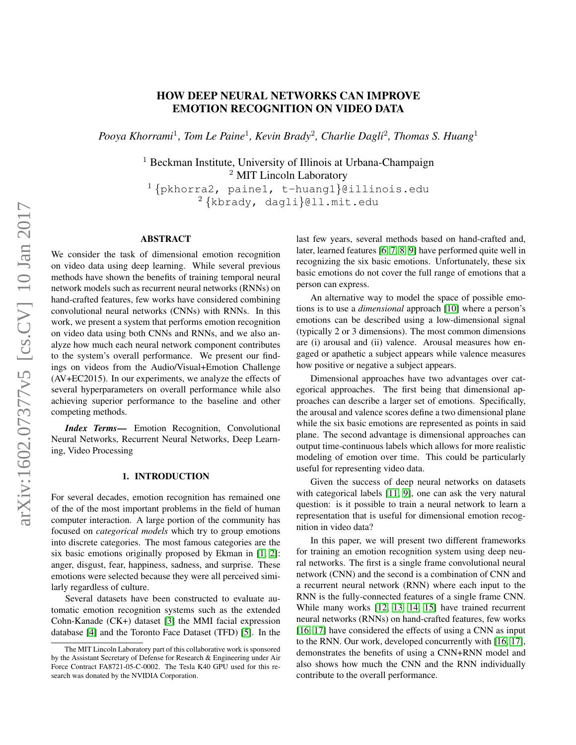# HOW DEEP NEURAL NETWORKS CAN IMPROVE EMOTION RECOGNITION ON VIDEO DATA

Pooya Khorrami<sup>1</sup>, Tom Le Paine<sup>1</sup>, Kevin Brady<sup>2</sup>, Charlie Dagli<sup>2</sup>, Thomas S. Huang<sup>1</sup>

<sup>1</sup> Beckman Institute, University of Illinois at Urbana-Champaign <sup>2</sup> MIT Lincoln Laboratory

<sup>1</sup>{pkhorra2, paine1, t-huang1}@illinois.edu  $^{2}$ {kbrady, dagli}@ll.mit.edu

# **ABSTRACT**

We consider the task of dimensional emotion recognition on video data using deep learning. While several previous methods have shown the benefits of training temporal neural network models such as recurrent neural networks (RNNs) on hand-crafted features, few works have considered combining convolutional neural networks (CNNs) with RNNs. In this work, we present a system that performs emotion recognition on video data using both CNNs and RNNs, and we also analyze how much each neural network component contributes to the system's overall performance. We present our findings on videos from the Audio/Visual+Emotion Challenge (AV+EC2015). In our experiments, we analyze the effects of several hyperparameters on overall performance while also achieving superior performance to the baseline and other competing methods.

*Index Terms*— Emotion Recognition, Convolutional Neural Networks, Recurrent Neural Networks, Deep Learning, Video Processing

#### 1. INTRODUCTION

For several decades, emotion recognition has remained one of the of the most important problems in the field of human computer interaction. A large portion of the community has focused on *categorical models* which try to group emotions into discrete categories. The most famous categories are the six basic emotions originally proposed by Ekman in [\[1,](#page-3-0) [2\]](#page-3-1): anger, disgust, fear, happiness, sadness, and surprise. These emotions were selected because they were all perceived similarly regardless of culture.

Several datasets have been constructed to evaluate automatic emotion recognition systems such as the extended Cohn-Kanade (CK+) dataset [\[3\]](#page-3-2) the MMI facial expression database [\[4\]](#page-4-0) and the Toronto Face Dataset (TFD) [\[5\]](#page-4-1). In the last few years, several methods based on hand-crafted and, later, learned features [\[6,](#page-4-2) [7,](#page-4-3) [8,](#page-4-4) [9\]](#page-4-5) have performed quite well in recognizing the six basic emotions. Unfortunately, these six basic emotions do not cover the full range of emotions that a person can express.

An alternative way to model the space of possible emotions is to use a *dimensional* approach [\[10\]](#page-4-6) where a person's emotions can be described using a low-dimensional signal (typically 2 or 3 dimensions). The most common dimensions are (i) arousal and (ii) valence. Arousal measures how engaged or apathetic a subject appears while valence measures how positive or negative a subject appears.

Dimensional approaches have two advantages over categorical approaches. The first being that dimensional approaches can describe a larger set of emotions. Specifically, the arousal and valence scores define a two dimensional plane while the six basic emotions are represented as points in said plane. The second advantage is dimensional approaches can output time-continuous labels which allows for more realistic modeling of emotion over time. This could be particularly useful for representing video data.

Given the success of deep neural networks on datasets with categorical labels [\[11,](#page-4-7) [9\]](#page-4-5), one can ask the very natural question: is it possible to train a neural network to learn a representation that is useful for dimensional emotion recognition in video data?

In this paper, we will present two different frameworks for training an emotion recognition system using deep neural networks. The first is a single frame convolutional neural network (CNN) and the second is a combination of CNN and a recurrent neural network (RNN) where each input to the RNN is the fully-connected features of a single frame CNN. While many works [\[12,](#page-4-8) [13,](#page-4-9) [14,](#page-4-10) [15\]](#page-4-11) have trained recurrent neural networks (RNNs) on hand-crafted features, few works [\[16,](#page-4-12) [17\]](#page-4-13) have considered the effects of using a CNN as input to the RNN. Our work, developed concurrently with [\[16,](#page-4-12) [17\]](#page-4-13), demonstrates the benefits of using a CNN+RNN model and also shows how much the CNN and the RNN individually contribute to the overall performance.

The MIT Lincoln Laboratory part of this collaborative work is sponsored by the Assistant Secretary of Defense for Research & Engineering under Air Force Contract FA8721-05-C-0002. The Tesla K40 GPU used for this research was donated by the NVIDIA Corporation.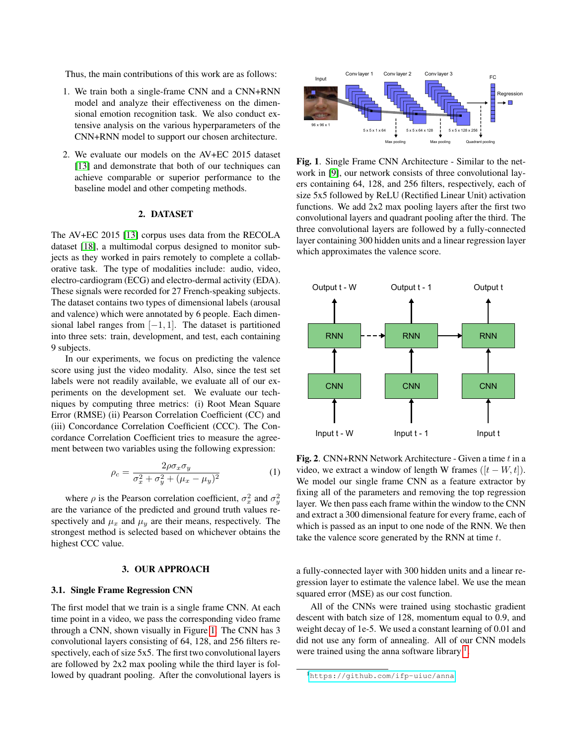Thus, the main contributions of this work are as follows:

- 1. We train both a single-frame CNN and a CNN+RNN model and analyze their effectiveness on the dimensional emotion recognition task. We also conduct extensive analysis on the various hyperparameters of the CNN+RNN model to support our chosen architecture.
- 2. We evaluate our models on the AV+EC 2015 dataset [\[13\]](#page-4-9) and demonstrate that both of our techniques can achieve comparable or superior performance to the baseline model and other competing methods.

#### 2. DATASET

The AV+EC 2015 [\[13\]](#page-4-9) corpus uses data from the RECOLA dataset [\[18\]](#page-4-14), a multimodal corpus designed to monitor subjects as they worked in pairs remotely to complete a collaborative task. The type of modalities include: audio, video, electro-cardiogram (ECG) and electro-dermal activity (EDA). These signals were recorded for 27 French-speaking subjects. The dataset contains two types of dimensional labels (arousal and valence) which were annotated by 6 people. Each dimensional label ranges from  $[-1, 1]$ . The dataset is partitioned into three sets: train, development, and test, each containing 9 subjects.

In our experiments, we focus on predicting the valence score using just the video modality. Also, since the test set labels were not readily available, we evaluate all of our experiments on the development set. We evaluate our techniques by computing three metrics: (i) Root Mean Square Error (RMSE) (ii) Pearson Correlation Coefficient (CC) and (iii) Concordance Correlation Coefficient (CCC). The Concordance Correlation Coefficient tries to measure the agreement between two variables using the following expression:

$$
\rho_c = \frac{2\rho\sigma_x\sigma_y}{\sigma_x^2 + \sigma_y^2 + (\mu_x - \mu_y)^2}
$$
 (1)

where  $\rho$  is the Pearson correlation coefficient,  $\sigma_x^2$  and  $\sigma_y^2$ are the variance of the predicted and ground truth values respectively and  $\mu_x$  and  $\mu_y$  are their means, respectively. The strongest method is selected based on whichever obtains the highest CCC value.

# 3. OUR APPROACH

# 3.1. Single Frame Regression CNN

The first model that we train is a single frame CNN. At each time point in a video, we pass the corresponding video frame through a CNN, shown visually in Figure [1.](#page-1-0) The CNN has 3 convolutional layers consisting of 64, 128, and 256 filters respectively, each of size 5x5. The first two convolutional layers are followed by 2x2 max pooling while the third layer is followed by quadrant pooling. After the convolutional layers is



<span id="page-1-0"></span>Fig. 1. Single Frame CNN Architecture - Similar to the network in [\[9\]](#page-4-5), our network consists of three convolutional layers containing 64, 128, and 256 filters, respectively, each of size 5x5 followed by ReLU (Rectified Linear Unit) activation functions. We add 2x2 max pooling layers after the first two convolutional layers and quadrant pooling after the third. The three convolutional layers are followed by a fully-connected layer containing 300 hidden units and a linear regression layer which approximates the valence score.



<span id="page-1-2"></span>**Fig. 2.** CNN+RNN Network Architecture - Given a time  $t$  in a video, we extract a window of length W frames  $([t - W, t])$ . We model our single frame CNN as a feature extractor by fixing all of the parameters and removing the top regression layer. We then pass each frame within the window to the CNN and extract a 300 dimensional feature for every frame, each of which is passed as an input to one node of the RNN. We then take the valence score generated by the RNN at time  $t$ .

a fully-connected layer with 300 hidden units and a linear regression layer to estimate the valence label. We use the mean squared error (MSE) as our cost function.

All of the CNNs were trained using stochastic gradient descent with batch size of 128, momentum equal to 0.9, and weight decay of 1e-5. We used a constant learning of 0.01 and did not use any form of annealing. All of our CNN models were trained using the anna software library  $<sup>1</sup>$  $<sup>1</sup>$  $<sup>1</sup>$ .</sup>

<span id="page-1-1"></span><sup>1</sup><https://github.com/ifp-uiuc/anna>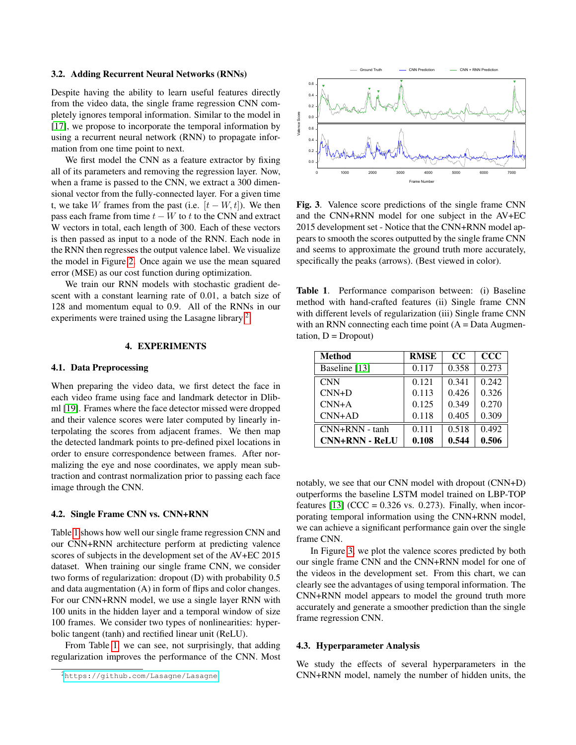#### 3.2. Adding Recurrent Neural Networks (RNNs)

Despite having the ability to learn useful features directly from the video data, the single frame regression CNN completely ignores temporal information. Similar to the model in [\[17\]](#page-4-13), we propose to incorporate the temporal information by using a recurrent neural network (RNN) to propagate information from one time point to next.

We first model the CNN as a feature extractor by fixing all of its parameters and removing the regression layer. Now, when a frame is passed to the CNN, we extract a 300 dimensional vector from the fully-connected layer. For a given time t, we take W frames from the past (i.e.  $[t - W, t]$ ). We then pass each frame from time  $t - W$  to the CNN and extract W vectors in total, each length of 300. Each of these vectors is then passed as input to a node of the RNN. Each node in the RNN then regresses the output valence label. We visualize the model in Figure [2.](#page-1-2) Once again we use the mean squared error (MSE) as our cost function during optimization.

We train our RNN models with stochastic gradient descent with a constant learning rate of 0.01, a batch size of 128 and momentum equal to 0.9. All of the RNNs in our experiments were trained using the Lasagne library<sup>[2](#page-2-0)</sup>.

# 4. EXPERIMENTS

# 4.1. Data Preprocessing

When preparing the video data, we first detect the face in each video frame using face and landmark detector in Dlibml [\[19\]](#page-4-15). Frames where the face detector missed were dropped and their valence scores were later computed by linearly interpolating the scores from adjacent frames. We then map the detected landmark points to pre-defined pixel locations in order to ensure correspondence between frames. After normalizing the eye and nose coordinates, we apply mean subtraction and contrast normalization prior to passing each face image through the CNN.

#### 4.2. Single Frame CNN vs. CNN+RNN

Table [1](#page-2-1) shows how well our single frame regression CNN and our CNN+RNN architecture perform at predicting valence scores of subjects in the development set of the AV+EC 2015 dataset. When training our single frame CNN, we consider two forms of regularization: dropout (D) with probability 0.5 and data augmentation (A) in form of flips and color changes. For our CNN+RNN model, we use a single layer RNN with 100 units in the hidden layer and a temporal window of size 100 frames. We consider two types of nonlinearities: hyperbolic tangent (tanh) and rectified linear unit (ReLU).

From Table [1,](#page-2-1) we can see, not surprisingly, that adding regularization improves the performance of the CNN. Most



<span id="page-2-2"></span>Fig. 3. Valence score predictions of the single frame CNN and the CNN+RNN model for one subject in the AV+EC 2015 development set - Notice that the CNN+RNN model appears to smooth the scores outputted by the single frame CNN and seems to approximate the ground truth more accurately, specifically the peaks (arrows). (Best viewed in color).

<span id="page-2-1"></span>Table 1. Performance comparison between: (i) Baseline method with hand-crafted features (ii) Single frame CNN with different levels of regularization (iii) Single frame CNN with an RNN connecting each time point  $(A = Data Augmen$  $tation, D = Dropout)$ 

| <b>Method</b>         | <b>RMSE</b> | $_{\rm CC}$ | $CC$  |
|-----------------------|-------------|-------------|-------|
| Baseline [13]         | 0.117       | 0.358       | 0.273 |
| <b>CNN</b>            | 0.121       | 0.341       | 0.242 |
| $CNN+D$               | 0.113       | 0.426       | 0.326 |
| $CNN+A$               | 0.125       | 0.349       | 0.270 |
| $CNN+AD$              | 0.118       | 0.405       | 0.309 |
| CNN+RNN - tanh        | 0.111       | 0.518       | 0.492 |
| <b>CNN+RNN - ReLU</b> | 0.108       | 0.544       | 0.506 |

notably, we see that our CNN model with dropout (CNN+D) outperforms the baseline LSTM model trained on LBP-TOP features [\[13\]](#page-4-9) (CCC =  $0.326$  vs. 0.273). Finally, when incorporating temporal information using the CNN+RNN model, we can achieve a significant performance gain over the single frame CNN.

In Figure [3,](#page-2-2) we plot the valence scores predicted by both our single frame CNN and the CNN+RNN model for one of the videos in the development set. From this chart, we can clearly see the advantages of using temporal information. The CNN+RNN model appears to model the ground truth more accurately and generate a smoother prediction than the single frame regression CNN.

#### 4.3. Hyperparameter Analysis

We study the effects of several hyperparameters in the CNN+RNN model, namely the number of hidden units, the

<span id="page-2-0"></span><sup>2</sup><https://github.com/Lasagne/Lasagne>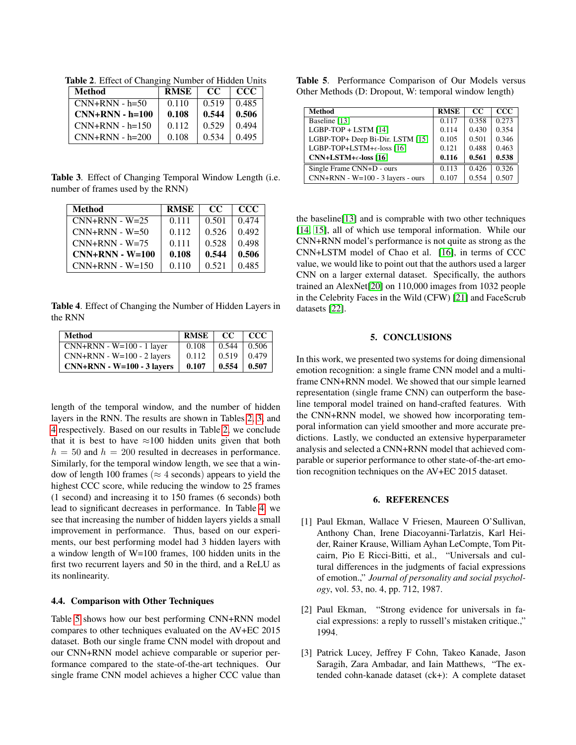<span id="page-3-3"></span>Method RMSE CC CCC  $CNN+RNN - h=50$  0.110 0.519 0.485  $CNN+RNN - h=100$  0.108 0.544 0.506  $CNN+RNN - h=150 \mid 0.112 \mid 0.529 \mid 0.494$  $CNN+RNN - h=200$  0.108 0.534 0.495

Table 2. Effect of Changing Number of Hidden Units

<span id="page-3-4"></span>Table 3. Effect of Changing Temporal Window Length (i.e. number of frames used by the RNN)

| Method            | <b>RMSE</b> | CC.   | <b>CCC</b> |
|-------------------|-------------|-------|------------|
| $CNN+RNN - W=25$  | 0.111       | 0.501 | 0.474      |
| $CNN+RNN - W=50$  | 0.112       | 0.526 | 0.492      |
| $CNN+RNN - W=75$  | 0.111       | 0.528 | 0.498      |
| $CNN+RNN - W=100$ | 0.108       | 0.544 | 0.506      |
| $CNN+RNN - W=150$ | 0.110       | 0.521 | 0.485      |

<span id="page-3-5"></span>Table 4. Effect of Changing the Number of Hidden Layers in the RNN

| Method                       | RMSE  | - CC  | + CCC |
|------------------------------|-------|-------|-------|
| $CNN+RNN - W=100 - 1$ layer  | 0.108 | 0.544 | 0.506 |
| $CNN+RNN - W=100 - 2$ layers | 0.112 | 0.519 | 0.479 |
| $CNN+RNN - W=100 - 3$ layers | 0.107 | 0.554 | 0.507 |

length of the temporal window, and the number of hidden layers in the RNN. The results are shown in Tables [2,](#page-3-3) [3,](#page-3-4) and [4](#page-3-5) respectively. Based on our results in Table [2,](#page-3-3) we conclude that it is best to have  $\approx 100$  hidden units given that both  $h = 50$  and  $h = 200$  resulted in decreases in performance. Similarly, for the temporal window length, we see that a window of length 100 frames ( $\approx$  4 seconds) appears to yield the highest CCC score, while reducing the window to 25 frames (1 second) and increasing it to 150 frames (6 seconds) both lead to significant decreases in performance. In Table [4,](#page-3-5) we see that increasing the number of hidden layers yields a small improvement in performance. Thus, based on our experiments, our best performing model had 3 hidden layers with a window length of W=100 frames, 100 hidden units in the first two recurrent layers and 50 in the third, and a ReLU as its nonlinearity.

# 4.4. Comparison with Other Techniques

Table [5](#page-3-6) shows how our best performing CNN+RNN model compares to other techniques evaluated on the AV+EC 2015 dataset. Both our single frame CNN model with dropout and our CNN+RNN model achieve comparable or superior performance compared to the state-of-the-art techniques. Our single frame CNN model achieves a higher CCC value than

<span id="page-3-6"></span>

| Table 5. Performance Comparison of Our Models versus  |  |  |
|-------------------------------------------------------|--|--|
| Other Methods (D: Dropout, W: temporal window length) |  |  |

| <b>Method</b>                        | <b>RMSE</b> | CC.   | ccc   |
|--------------------------------------|-------------|-------|-------|
| Baseline [13]                        | 0.117       | 0.358 | 0.273 |
| LGBP-TOP + LSTM [14]                 | 0.114       | 0.430 | 0.354 |
| LGBP-TOP+ Deep Bi-Dir. LSTM [15]     | 0.105       | 0.501 | 0.346 |
| LGBP-TOP+LSTM+ $\epsilon$ -loss [16] | 0.121       | 0.488 | 0.463 |
| $CNN+LSTM+\epsilon$ -loss [16]       | 0.116       | 0.561 | 0.538 |
| Single Frame CNN+D - ours            | 0.113       | 0.426 | 0.326 |
| $CNN+RNN - W=100 - 3$ layers - ours  | 0.107       | 0.554 | 0.507 |

the baseline[\[13\]](#page-4-9) and is comprable with two other techniques [\[14,](#page-4-10) [15\]](#page-4-11), all of which use temporal information. While our CNN+RNN model's performance is not quite as strong as the CNN+LSTM model of Chao et al. [\[16\]](#page-4-12), in terms of CCC value, we would like to point out that the authors used a larger CNN on a larger external dataset. Specifically, the authors trained an AlexNet[\[20\]](#page-4-16) on 110,000 images from 1032 people in the Celebrity Faces in the Wild (CFW) [\[21\]](#page-4-17) and FaceScrub datasets [\[22\]](#page-4-18).

### 5. CONCLUSIONS

In this work, we presented two systems for doing dimensional emotion recognition: a single frame CNN model and a multiframe CNN+RNN model. We showed that our simple learned representation (single frame CNN) can outperform the baseline temporal model trained on hand-crafted features. With the CNN+RNN model, we showed how incorporating temporal information can yield smoother and more accurate predictions. Lastly, we conducted an extensive hyperparameter analysis and selected a CNN+RNN model that achieved comparable or superior performance to other state-of-the-art emotion recognition techniques on the AV+EC 2015 dataset.

#### 6. REFERENCES

- <span id="page-3-0"></span>[1] Paul Ekman, Wallace V Friesen, Maureen O'Sullivan, Anthony Chan, Irene Diacoyanni-Tarlatzis, Karl Heider, Rainer Krause, William Ayhan LeCompte, Tom Pitcairn, Pio E Ricci-Bitti, et al., "Universals and cultural differences in the judgments of facial expressions of emotion.," *Journal of personality and social psychology*, vol. 53, no. 4, pp. 712, 1987.
- <span id="page-3-1"></span>[2] Paul Ekman, "Strong evidence for universals in facial expressions: a reply to russell's mistaken critique.," 1994.
- <span id="page-3-2"></span>[3] Patrick Lucey, Jeffrey F Cohn, Takeo Kanade, Jason Saragih, Zara Ambadar, and Iain Matthews, "The extended cohn-kanade dataset (ck+): A complete dataset